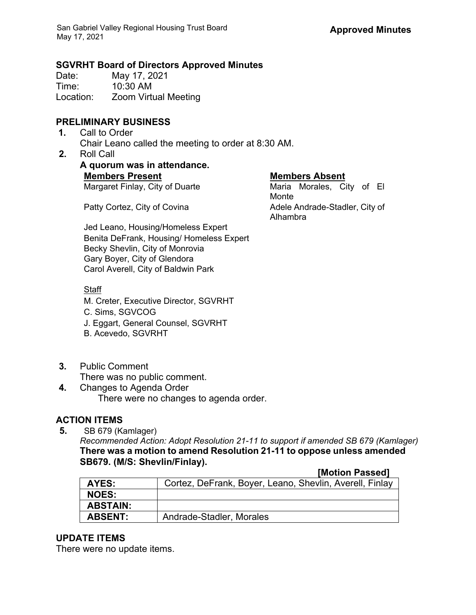### **SGVRHT Board of Directors Approved Minutes**

Date: May 17, 2021 Time: 10:30 AM Location: Zoom Virtual Meeting

## **PRELIMINARY BUSINESS**

- **1.** Call to Order Chair Leano called the meeting to order at 8:30 AM.
- **2.** Roll Call
	- **A quorum was in attendance. Members Present Members Absent** Margaret Finlay, City of Duarte Maria Morales, City of El

Monte Patty Cortez, City of Covina **Adele Andrade-Stadler, City of** Adele Andrade-Stadler, City of Alhambra

Jed Leano, Housing/Homeless Expert Benita DeFrank, Housing/ Homeless Expert Becky Shevlin, City of Monrovia Gary Boyer, City of Glendora Carol Averell, City of Baldwin Park

### **Staff**

M. Creter, Executive Director, SGVRHT

- C. Sims, SGVCOG
- J. Eggart, General Counsel, SGVRHT
- B. Acevedo, SGVRHT
- **3.** Public Comment
	- There was no public comment.
- **4.** Changes to Agenda Order There were no changes to agenda order.

# **ACTION ITEMS**

**5.** SB 679 (Kamlager) *Recommended Action: Adopt Resolution 21-11 to support if amended SB 679 (Kamlager)*  **There was a motion to amend Resolution 21-11 to oppose unless amended SB679. (M/S: Shevlin/Finlay).**

#### **[Motion Passed]**

| AYES:           | Cortez, DeFrank, Boyer, Leano, Shevlin, Averell, Finlay |
|-----------------|---------------------------------------------------------|
| <b>NOES:</b>    |                                                         |
| <b>ABSTAIN:</b> |                                                         |
| <b>ABSENT:</b>  | Andrade-Stadler, Morales                                |

### **UPDATE ITEMS**

There were no update items.